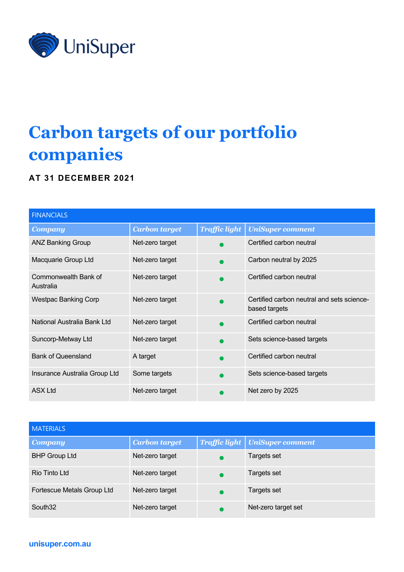

## **Carbon targets of our portfolio companies**

## **AT 31 DECEMBER 2021**

| <b>FINANCIALS</b>                 |                      |                      |                                                             |
|-----------------------------------|----------------------|----------------------|-------------------------------------------------------------|
| <b>Company</b>                    | <b>Carbon target</b> | <b>Traffic light</b> | <b>UniSuper comment</b>                                     |
| <b>ANZ Banking Group</b>          | Net-zero target      |                      | Certified carbon neutral                                    |
| Macquarie Group Ltd               | Net-zero target      |                      | Carbon neutral by 2025                                      |
| Commonwealth Bank of<br>Australia | Net-zero target      |                      | Certified carbon neutral                                    |
| <b>Westpac Banking Corp</b>       | Net-zero target      |                      | Certified carbon neutral and sets science-<br>based targets |
| National Australia Bank Ltd       | Net-zero target      |                      | Certified carbon neutral                                    |
| Suncorp-Metway Ltd                | Net-zero target      |                      | Sets science-based targets                                  |
| <b>Bank of Queensland</b>         | A target             |                      | Certified carbon neutral                                    |
| Insurance Australia Group Ltd     | Some targets         |                      | Sets science-based targets                                  |
| <b>ASX Ltd</b>                    | Net-zero target      |                      | Net zero by 2025                                            |

| <b>MATERIALS</b>           |                      |                      |                         |
|----------------------------|----------------------|----------------------|-------------------------|
| Company                    | <b>Carbon target</b> | <b>Traffic light</b> | <b>UniSuper comment</b> |
| <b>BHP Group Ltd</b>       | Net-zero target      |                      | Targets set             |
| Rio Tinto Ltd              | Net-zero target      |                      | Targets set             |
| Fortescue Metals Group Ltd | Net-zero target      |                      | Targets set             |
| South <sub>32</sub>        | Net-zero target      |                      | Net-zero target set     |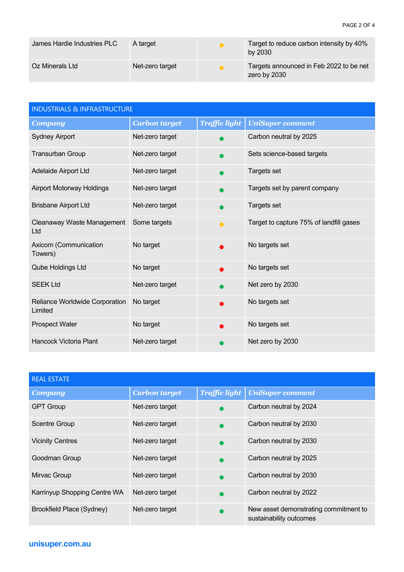| James Hardie Industries PLC | A target        | Target to reduce carbon intensity by 40%<br>by 2030     |
|-----------------------------|-----------------|---------------------------------------------------------|
| Oz Minerals Ltd             | Net-zero target | Targets announced in Feb 2022 to be net<br>zero by 2030 |

| <b>INDUSTRIALS &amp; INFRASTRUCTURE</b>   |                      |                      |                                         |
|-------------------------------------------|----------------------|----------------------|-----------------------------------------|
| <b>Company</b>                            | <b>Carbon target</b> | <b>Traffic light</b> | <b>UniSuper comment</b>                 |
| <b>Sydney Airport</b>                     | Net-zero target      |                      | Carbon neutral by 2025                  |
| <b>Transurban Group</b>                   | Net-zero target      |                      | Sets science-based targets              |
| Adelaide Airport Ltd                      | Net-zero target      |                      | Targets set                             |
| <b>Airport Motorway Holdings</b>          | Net-zero target      |                      | Targets set by parent company           |
| <b>Brisbane Airport Ltd</b>               | Net-zero target      |                      | Targets set                             |
| Cleanaway Waste Management<br>Ltd         | Some targets         | $\bullet$            | Target to capture 75% of landfill gases |
| Axicom (Communication<br>Towers)          | No target            |                      | No targets set                          |
| Qube Holdings Ltd                         | No target            |                      | No targets set                          |
| <b>SEEK Ltd</b>                           | Net-zero target      |                      | Net zero by 2030                        |
| Reliance Worldwide Corporation<br>Limited | No target            |                      | No targets set                          |
| <b>Prospect Water</b>                     | No target            |                      | No targets set                          |
| <b>Hancock Victoria Plant</b>             | Net-zero target      |                      | Net zero by 2030                        |

| <b>REAL ESTATE</b>           |                      |                      |                                                                  |
|------------------------------|----------------------|----------------------|------------------------------------------------------------------|
| <b>Company</b>               | <b>Carbon target</b> | <b>Traffic light</b> | <b>UniSuper comment</b>                                          |
| <b>GPT Group</b>             | Net-zero target      |                      | Carbon neutral by 2024                                           |
| <b>Scentre Group</b>         | Net-zero target      |                      | Carbon neutral by 2030                                           |
| <b>Vicinity Centres</b>      | Net-zero target      |                      | Carbon neutral by 2030                                           |
| Goodman Group                | Net-zero target      |                      | Carbon neutral by 2025                                           |
| Mirvac Group                 | Net-zero target      |                      | Carbon neutral by 2030                                           |
| Karrinyup Shopping Centre WA | Net-zero target      |                      | Carbon neutral by 2022                                           |
| Brookfield Place (Sydney)    | Net-zero target      |                      | New asset demonstrating commitment to<br>sustainability outcomes |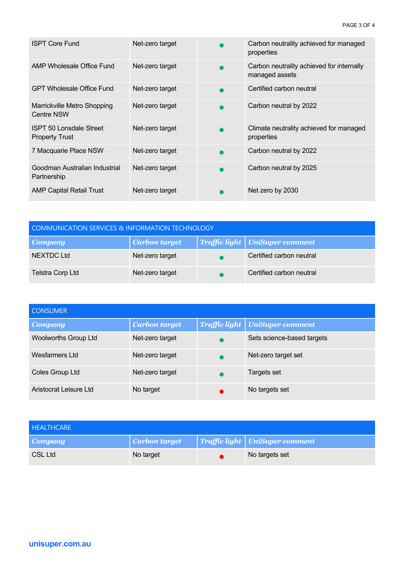| <b>ISPT Core Fund</b>                                   | Net-zero target | Carbon neutrality achieved for managed<br>properties        |
|---------------------------------------------------------|-----------------|-------------------------------------------------------------|
| AMP Wholesale Office Fund                               | Net-zero target | Carbon neutrality achieved for internally<br>managed assets |
| <b>GPT Wholesale Office Fund</b>                        | Net-zero target | Certified carbon neutral                                    |
| Marrickville Metro Shopping<br><b>Centre NSW</b>        | Net-zero target | Carbon neutral by 2022                                      |
| <b>ISPT 50 Lonsdale Street</b><br><b>Property Trust</b> | Net-zero target | Climate neutrality achieved for managed<br>properties       |
| 7 Macquarie Place NSW                                   | Net-zero target | Carbon neutral by 2022                                      |
| Goodman Australian Industrial<br>Partnership            | Net-zero target | Carbon neutral by 2025                                      |
| <b>AMP Capital Retail Trust</b>                         | Net-zero target | Net zero by 2030                                            |

| <b>COMMUNICATION SERVICES &amp; INFORMATION TECHNOLOGY</b> |                      |  |                                  |
|------------------------------------------------------------|----------------------|--|----------------------------------|
| <b>Company</b>                                             | <b>Carbon target</b> |  | Traffic light   UniSuper comment |
| <b>NEXTDC Ltd</b>                                          | Net-zero target      |  | Certified carbon neutral         |
| <b>Telstra Corp Ltd</b>                                    | Net-zero target      |  | Certified carbon neutral         |

| <b>CONSUMER</b>             |                      |                                         |
|-----------------------------|----------------------|-----------------------------------------|
| <b>Company</b>              | <b>Carbon target</b> | <b>Traffic light   UniSuper comment</b> |
| <b>Woolworths Group Ltd</b> | Net-zero target      | Sets science-based targets              |
| Wesfarmers Ltd              | Net-zero target      | Net-zero target set                     |
| Coles Group Ltd             | Net-zero target      | Targets set                             |
| Aristocrat Leisure Ltd      | No target            | No targets set                          |

| <b>HEALTHCARE</b> |               |                                |
|-------------------|---------------|--------------------------------|
| <b>Company</b>    | Carbon target | Traffic light UniSuper comment |
| CSL Ltd           | No target     | No targets set                 |